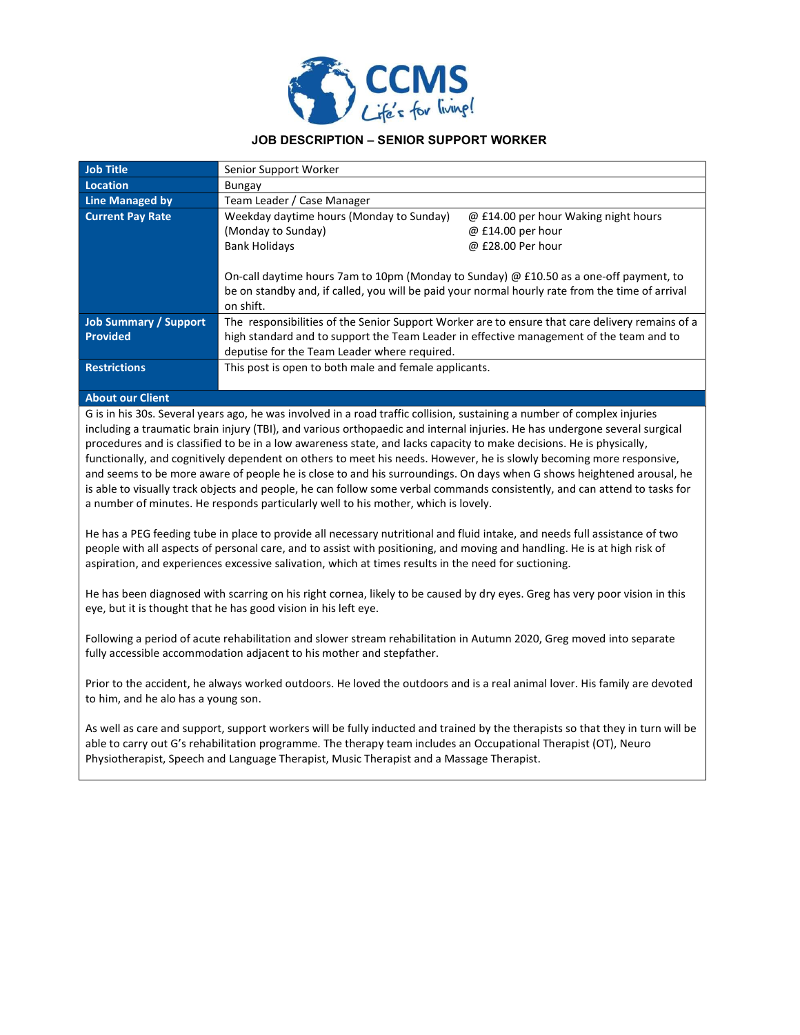

# JOB DESCRIPTION – SENIOR SUPPORT WORKER

| <b>Job Title</b>             | Senior Support Worker                                                                                                                                                                                         |                                      |  |
|------------------------------|---------------------------------------------------------------------------------------------------------------------------------------------------------------------------------------------------------------|--------------------------------------|--|
| <b>Location</b>              | Bungay                                                                                                                                                                                                        |                                      |  |
| <b>Line Managed by</b>       | Team Leader / Case Manager                                                                                                                                                                                    |                                      |  |
| <b>Current Pay Rate</b>      | Weekday daytime hours (Monday to Sunday)                                                                                                                                                                      | @ £14.00 per hour Waking night hours |  |
|                              | (Monday to Sunday)                                                                                                                                                                                            | @ £14.00 per hour                    |  |
|                              | <b>Bank Holidays</b>                                                                                                                                                                                          | @ £28.00 Per hour                    |  |
|                              | On-call daytime hours 7am to 10pm (Monday to Sunday) $\omega$ £10.50 as a one-off payment, to<br>be on standby and, if called, you will be paid your normal hourly rate from the time of arrival<br>on shift. |                                      |  |
| <b>Job Summary / Support</b> | The responsibilities of the Senior Support Worker are to ensure that care delivery remains of a                                                                                                               |                                      |  |
| <b>Provided</b>              | high standard and to support the Team Leader in effective management of the team and to                                                                                                                       |                                      |  |
|                              | deputise for the Team Leader where required.                                                                                                                                                                  |                                      |  |
| <b>Restrictions</b>          | This post is open to both male and female applicants.                                                                                                                                                         |                                      |  |

#### About our Client

G is in his 30s. Several years ago, he was involved in a road traffic collision, sustaining a number of complex injuries including a traumatic brain injury (TBI), and various orthopaedic and internal injuries. He has undergone several surgical procedures and is classified to be in a low awareness state, and lacks capacity to make decisions. He is physically, functionally, and cognitively dependent on others to meet his needs. However, he is slowly becoming more responsive, and seems to be more aware of people he is close to and his surroundings. On days when G shows heightened arousal, he is able to visually track objects and people, he can follow some verbal commands consistently, and can attend to tasks for a number of minutes. He responds particularly well to his mother, which is lovely.

He has a PEG feeding tube in place to provide all necessary nutritional and fluid intake, and needs full assistance of two people with all aspects of personal care, and to assist with positioning, and moving and handling. He is at high risk of aspiration, and experiences excessive salivation, which at times results in the need for suctioning.

He has been diagnosed with scarring on his right cornea, likely to be caused by dry eyes. Greg has very poor vision in this eye, but it is thought that he has good vision in his left eye.

Following a period of acute rehabilitation and slower stream rehabilitation in Autumn 2020, Greg moved into separate fully accessible accommodation adjacent to his mother and stepfather.

Prior to the accident, he always worked outdoors. He loved the outdoors and is a real animal lover. His family are devoted to him, and he alo has a young son.

As well as care and support, support workers will be fully inducted and trained by the therapists so that they in turn will be able to carry out G's rehabilitation programme. The therapy team includes an Occupational Therapist (OT), Neuro Physiotherapist, Speech and Language Therapist, Music Therapist and a Massage Therapist.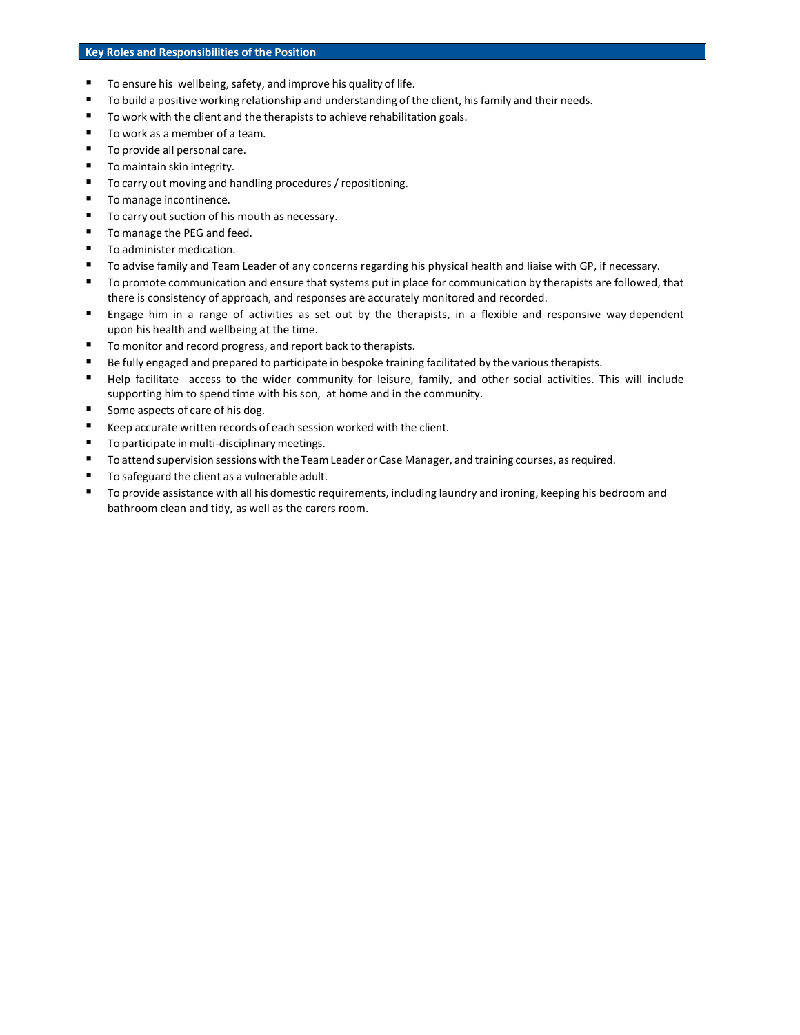### Key Roles and Responsibilities of the Position

- To ensure his wellbeing, safety, and improve his quality of life.
- **To build a positive working relationship and understanding of the client, his family and their needs.**
- To work with the client and the therapists to achieve rehabilitation goals.
- To work as a member of a team.
- To provide all personal care.
- **To maintain skin integrity.**
- To carry out moving and handling procedures / repositioning.
- To manage incontinence.
- To carry out suction of his mouth as necessary.
- To manage the PEG and feed.
- To administer medication.
- To advise family and Team Leader of any concerns regarding his physical health and liaise with GP, if necessary.
- To promote communication and ensure that systems put in place for communication by therapists are followed, that there is consistency of approach, and responses are accurately monitored and recorded.
- Engage him in a range of activities as set out by the therapists, in a flexible and responsive way dependent upon his health and wellbeing at the time.
- To monitor and record progress, and report back to therapists.
- Be fully engaged and prepared to participate in bespoke training facilitated by the various therapists.
- Help facilitate access to the wider community for leisure, family, and other social activities. This will include supporting him to spend time with his son, at home and in the community.
- Some aspects of care of his dog.
- Keep accurate written records of each session worked with the client.
- To participate in multi-disciplinary meetings.
- To attend supervision sessions with the Team Leader or Case Manager, and training courses, as required.
- To safeguard the client as a vulnerable adult.
- To provide assistance with all his domestic requirements, including laundry and ironing, keeping his bedroom and bathroom clean and tidy, as well as the carers room.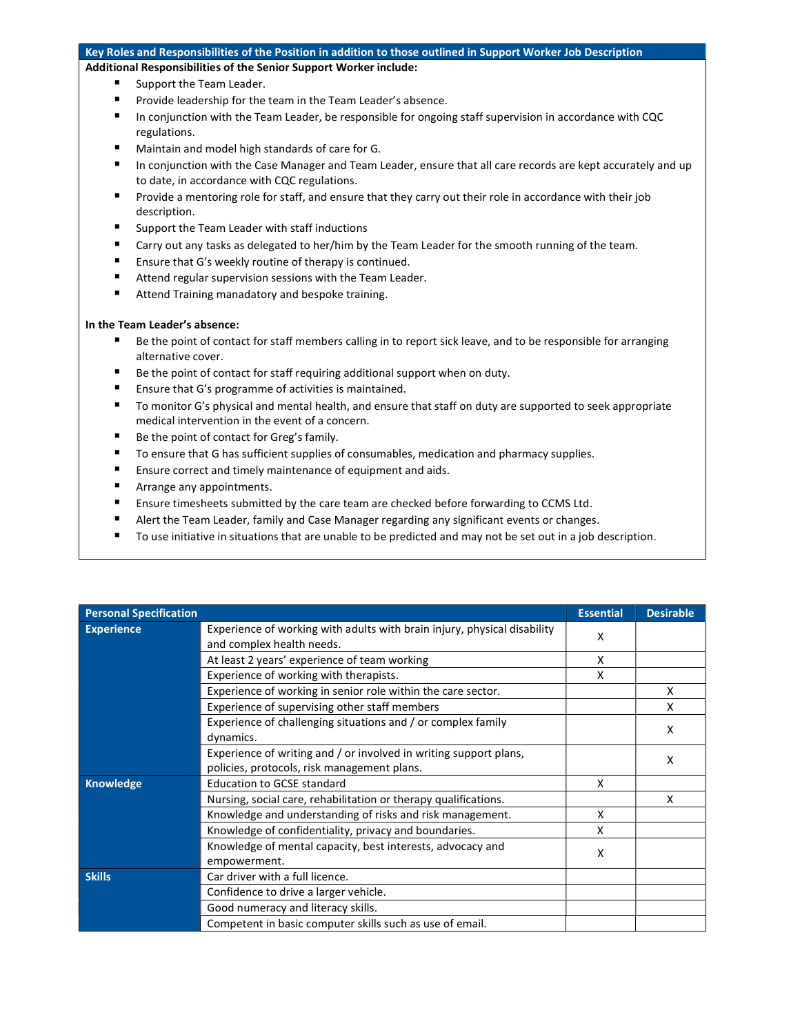#### Key Roles and Responsibilities of the Position in addition to those outlined in Support Worker Job Description

Additional Responsibilities of the Senior Support Worker include:

- Support the Team Leader.
- **Provide leadership for the team in the Team Leader's absence.**
- In conjunction with the Team Leader, be responsible for ongoing staff supervision in accordance with CQC regulations.
- Maintain and model high standards of care for G.
- In conjunction with the Case Manager and Team Leader, ensure that all care records are kept accurately and up to date, in accordance with CQC regulations.
- **Provide a mentoring role for staff, and ensure that they carry out their role in accordance with their job** description.
- Support the Team Leader with staff inductions
- Carry out any tasks as delegated to her/him by the Team Leader for the smooth running of the team.
- Ensure that G's weekly routine of therapy is continued.
- Attend regular supervision sessions with the Team Leader.
- Attend Training manadatory and bespoke training.

#### In the Team Leader's absence:

- Be the point of contact for staff members calling in to report sick leave, and to be responsible for arranging alternative cover.
- Be the point of contact for staff requiring additional support when on duty.
- Ensure that G's programme of activities is maintained.
- To monitor G's physical and mental health, and ensure that staff on duty are supported to seek appropriate medical intervention in the event of a concern.
- Be the point of contact for Greg's family.
- To ensure that G has sufficient supplies of consumables, medication and pharmacy supplies.
- Ensure correct and timely maintenance of equipment and aids.
- **Arrange any appointments.**
- Ensure timesheets submitted by the care team are checked before forwarding to CCMS Ltd.
- Alert the Team Leader, family and Case Manager regarding any significant events or changes.
- To use initiative in situations that are unable to be predicted and may not be set out in a job description.

| <b>Personal Specification</b> |                                                                                                                  | <b>Essential</b> | <b>Desirable</b> |
|-------------------------------|------------------------------------------------------------------------------------------------------------------|------------------|------------------|
| <b>Experience</b>             | Experience of working with adults with brain injury, physical disability<br>and complex health needs.            | X                |                  |
|                               | At least 2 years' experience of team working                                                                     | x                |                  |
|                               | Experience of working with therapists.                                                                           | X                |                  |
|                               | Experience of working in senior role within the care sector.                                                     |                  | X                |
|                               | Experience of supervising other staff members                                                                    |                  | x                |
|                               | Experience of challenging situations and / or complex family<br>dynamics.                                        |                  | X                |
|                               | Experience of writing and / or involved in writing support plans,<br>policies, protocols, risk management plans. |                  | x                |
| <b>Knowledge</b>              | <b>Education to GCSE standard</b>                                                                                | x                |                  |
|                               | Nursing, social care, rehabilitation or therapy qualifications.                                                  |                  | x                |
|                               | Knowledge and understanding of risks and risk management.                                                        | x                |                  |
|                               | Knowledge of confidentiality, privacy and boundaries.                                                            | x                |                  |
|                               | Knowledge of mental capacity, best interests, advocacy and<br>empowerment.                                       | x                |                  |
| <b>Skills</b>                 | Car driver with a full licence.                                                                                  |                  |                  |
|                               | Confidence to drive a larger vehicle.                                                                            |                  |                  |
|                               | Good numeracy and literacy skills.                                                                               |                  |                  |
|                               | Competent in basic computer skills such as use of email.                                                         |                  |                  |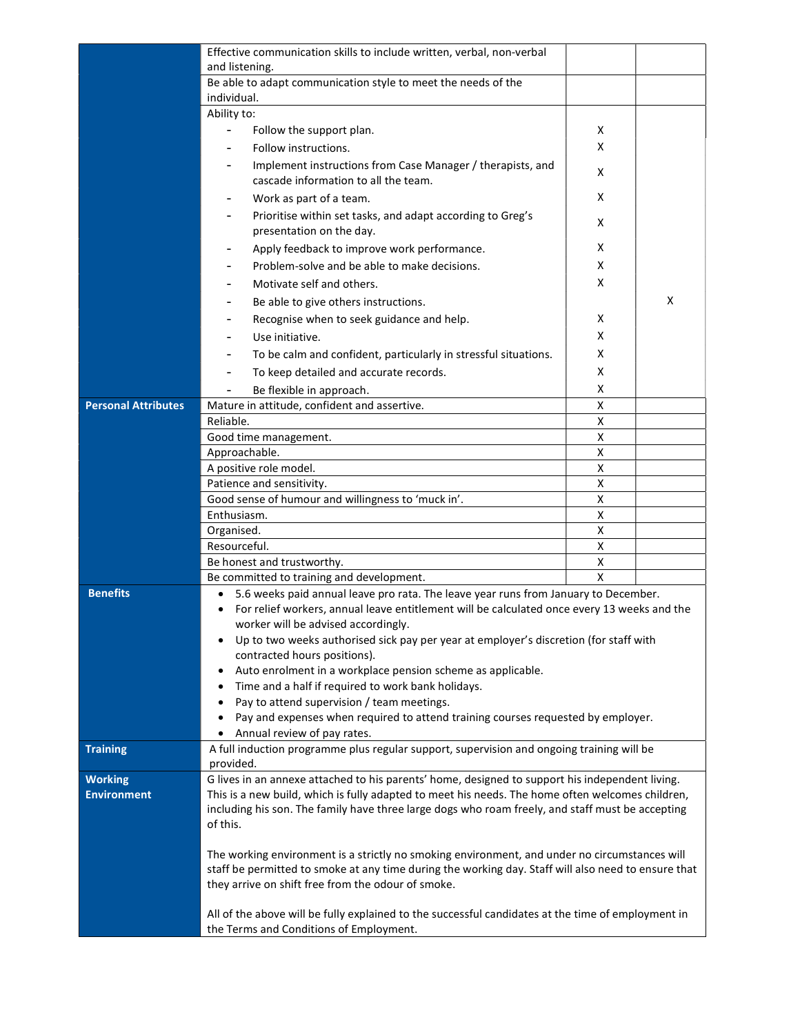|                            | Effective communication skills to include written, verbal, non-verbal                                                                         |        |   |
|----------------------------|-----------------------------------------------------------------------------------------------------------------------------------------------|--------|---|
|                            | and listening.                                                                                                                                |        |   |
|                            | Be able to adapt communication style to meet the needs of the                                                                                 |        |   |
|                            | individual.<br>Ability to:                                                                                                                    |        |   |
|                            |                                                                                                                                               |        |   |
|                            | Follow the support plan.                                                                                                                      | x<br>X |   |
|                            | Follow instructions.                                                                                                                          |        |   |
|                            | Implement instructions from Case Manager / therapists, and<br>cascade information to all the team.                                            | х      |   |
|                            | Work as part of a team.                                                                                                                       | x      |   |
|                            | Prioritise within set tasks, and adapt according to Greg's<br>presentation on the day.                                                        | х      |   |
|                            | Apply feedback to improve work performance.                                                                                                   | X      |   |
|                            | Problem-solve and be able to make decisions.                                                                                                  | x      |   |
|                            | Motivate self and others.                                                                                                                     | X      |   |
|                            | Be able to give others instructions.                                                                                                          |        | X |
|                            | Recognise when to seek guidance and help.                                                                                                     | X      |   |
|                            | Use initiative.                                                                                                                               | x      |   |
|                            | To be calm and confident, particularly in stressful situations.                                                                               | X      |   |
|                            | To keep detailed and accurate records.                                                                                                        | X      |   |
|                            | Be flexible in approach.                                                                                                                      | x      |   |
| <b>Personal Attributes</b> | Mature in attitude, confident and assertive.                                                                                                  | X      |   |
|                            | Reliable.                                                                                                                                     | X      |   |
|                            | Good time management.                                                                                                                         | X      |   |
|                            | Approachable.                                                                                                                                 | X      |   |
|                            | A positive role model.                                                                                                                        | Χ      |   |
|                            | Patience and sensitivity.                                                                                                                     | х      |   |
|                            | Good sense of humour and willingness to 'muck in'.                                                                                            | X      |   |
|                            | Enthusiasm.                                                                                                                                   | Χ      |   |
|                            | Organised.<br>Resourceful.                                                                                                                    | X<br>X |   |
|                            | Be honest and trustworthy.                                                                                                                    | X      |   |
|                            | Be committed to training and development.                                                                                                     | X      |   |
| <b>Benefits</b>            | 5.6 weeks paid annual leave pro rata. The leave year runs from January to December.<br>$\bullet$                                              |        |   |
|                            | For relief workers, annual leave entitlement will be calculated once every 13 weeks and the                                                   |        |   |
|                            | worker will be advised accordingly.                                                                                                           |        |   |
|                            | Up to two weeks authorised sick pay per year at employer's discretion (for staff with<br>٠                                                    |        |   |
|                            | contracted hours positions).                                                                                                                  |        |   |
|                            | Auto enrolment in a workplace pension scheme as applicable.                                                                                   |        |   |
|                            | Time and a half if required to work bank holidays.<br>Pay to attend supervision / team meetings.                                              |        |   |
|                            | Pay and expenses when required to attend training courses requested by employer.                                                              |        |   |
|                            | Annual review of pay rates.                                                                                                                   |        |   |
| <b>Training</b>            | A full induction programme plus regular support, supervision and ongoing training will be                                                     |        |   |
|                            | provided.                                                                                                                                     |        |   |
| <b>Working</b>             | G lives in an annexe attached to his parents' home, designed to support his independent living.                                               |        |   |
| <b>Environment</b>         | This is a new build, which is fully adapted to meet his needs. The home often welcomes children,                                              |        |   |
|                            | including his son. The family have three large dogs who roam freely, and staff must be accepting<br>of this.                                  |        |   |
|                            |                                                                                                                                               |        |   |
|                            | The working environment is a strictly no smoking environment, and under no circumstances will                                                 |        |   |
|                            | staff be permitted to smoke at any time during the working day. Staff will also need to ensure that                                           |        |   |
|                            | they arrive on shift free from the odour of smoke.                                                                                            |        |   |
|                            |                                                                                                                                               |        |   |
|                            | All of the above will be fully explained to the successful candidates at the time of employment in<br>the Terms and Conditions of Employment. |        |   |
|                            |                                                                                                                                               |        |   |